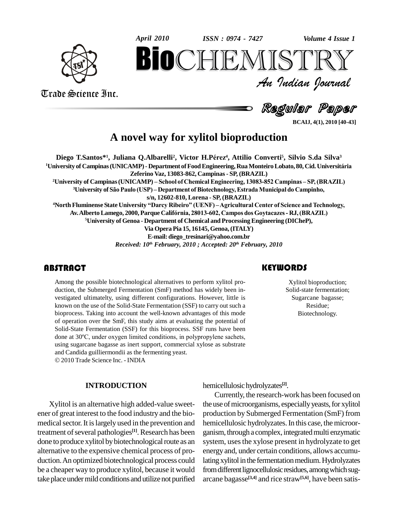



Trade Science Inc. Trade Science Inc.



**BCAIJ, 4(1), 2010 [40-43]**

## **A novel way for xylitol bioproduction**

A NOVEI WAY IOF XYIItOI DIOPFOQUCtION<br>Diego T.Santos\*<sup>1</sup>, Juliana Q.Albarelli<sup>2</sup>, Victor H.Pérez<sup>4</sup>, Attilio Converti<sup>5</sup>, Silvio S.da Silva<sup>3</sup> **<sup>1</sup>University of Campinas(UNICAMP)- Department ofFoodEngineering, RuaMonteiroLobato, 80, Cid. Universit·ria Zeferino Vaz, 13083-862, Campinas- SP, (BRAZIL) 2** University of Campinas (UNICAMP) - Department of Food Engineering, Rua Monteiro Lobato, 80, Cid. Universitária<br>22 Zeferino Vaz, 13083-862, Campinas - SP, (BRAZIL)<br>24 University of Campinas (UNICAMP) – School of Chemica **<sup>3</sup>University ofS"oPaulo (USP) ñDepartment ofBiotechnology,EstradaMunicipal do Campinho, s/n, 12602-810, Lorena - SP, (BRAZIL) <sup>4</sup>North Fluminense State University ìDarcy Ribeiroî (UENF) ñAgricultural Center of Science andTechnology, Av.AlbertoLamego, 2000, Parque CalifÛrnia, 28013-602, Campos dosGoytacazes- RJ,(BRAZIL) <sup>5</sup>University of Genoa - Department of Chemical and ProcessingEngineering (DICheP), Via Opera Pia 15, 16145, Genoa,(ITALY) E-mail: [diego\\_tresinari@yahoo.com.br](mailto:diego_tresinari@yahoo.com.br)** *Received: 10 th February, 2010 ; Accepted: 20 th February, 2010*

Among the possible biotechical<br>duction, the Submerged I<br>vestigated ultimatelty, us Among the possible biotechnological alternatives to perform xylitol pro duction, the Submerged Fermentation (SmF) method has widely been in vestigated ultimatelty, using different configurations. However, little is known on the use of the Solid-State Fermentation (SSF) to carry out such a bioprocess. Taking into account the well-known advantages of this mode of operation over the SmF, this study aims at evaluating the potential of Solid-State Fermentation (SSF) for this bioprocess. SSF runs have been of operation over the SmF, this study aims at evaluating the potential of Solid-State Fermentation (SSF) for this bioprocess. SSF runs have been done at 30°C, under oxygen limited conditions, in polypropylene sachets, using sugarcane bagasse as inert support, commercial xylose as substrate and Candida guilliermondii as the fermenting yeast. 2010Trade Science Inc. - INDIA

#### **INTRODUCTION**

Xylitol is an alternative high added-value sweet ener of great interest to the food industry and the bio medical sector. It is largely used in the prevention and treatment of several pathologies<sup>[1]</sup>. Research has been ganism done to produce xylitol by biotechnological route as an alternative to the expensive chemical process of pro duction.An optimized biotechnological process could be a cheaper way to produce xylitol, because it would take place under mild conditions and utilize not purified

#### **KEYWORDS**

Xylitol bioproduc<br>Solid-state ferment<br>Sugarcane bagas Xylitol bioproduction; Solid-state fermentation; Sugarcane bagasse; Residue; Biotechnology.

hemicellulosichydrolyzates **[2]**.

Currently, the research-work has been focused on the use of microorganisms, especially yeasts, for xylitol production by Submerged Fermentation (SmF) from hemicellulosic hydrolyzates. In this case, the microorganism, through a complex, integrated multi enzymatic system, uses the xylose present in hydrolyzate to get energy and, under certain conditions, allows accumulating xylitol in the fermentation medium. Hydrolyzates from different lignocellulosic residues, among which sugarcane bagasse **[3,4]** and rice straw**[5,6]**, have been satis-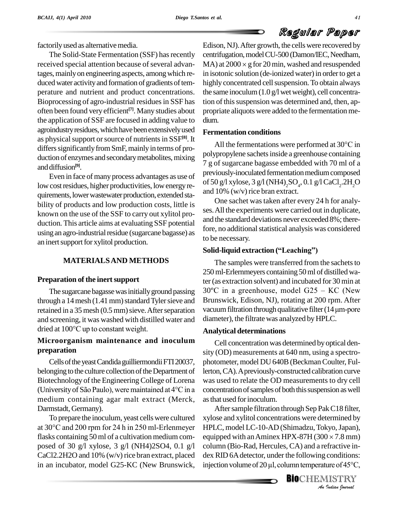# Regular Paper

factorily used as alternative media.

The Solid-State Fermentation (SSF) has recently received special attention because of several advantages, mainly on engineering aspects, among which re-<br>duced water activity and formation of gradients of temperature and nutrient and product concentrations. Bioprocessing of agro-industrial residues in SSF has often been found very efficient **[7]**. Many studies about the application of SSF are focused in adding value to agroindustry residues, which have been extensively used as physical support or source of nutrients in SSF<sup>[8]</sup>. It differs significantly from SmF, mainly in terms of production of enzymes and secondary metabolites, mixing and diffusion<sup>[9]</sup>.

Even in face of many process advantages as use of low cost residues, higher productivities, low energy requirements, lower wastewater production, extended stability of products and low production costs, little is known on the use of the SSF to carry out xylitol pro duction. This article aims at evaluating SSF potential using an agro-industrial residue (sugarcane bagasse) as an inert support for xylitol production.

### **MATERIALSAND METHODS**

#### **Preparation of the inertsupport**

through a  $14$  mesh ( $1.41$  mm) standard Tyler sieve and retained in a 35 mesh (0.5 mm) sieve. After separation vacuum<br>and screening, it was washed with distilled water and diamet<br>dried at 100°C up to constant weight. **Analyt** and screening, it was washed with distilled water and

#### **Microorganism maintenance and inoculum preparation**

Cells of the yeast Candida guilliermondii FTI 20037, belonging to the culture collection of the Department of Biotechnology of the Engineering College of Lorena was u belonging to the culture collection of the Department of lerton<br>Biotechnology of the Engineering College of Lorena was u<br>(University of São Paulo), were maintained at 4°C in a conce medium containing agar malt extract (Merck, Darmstadt, Germany).

To prepare the inoculum, yeast cellswere cultured at <sup>30</sup>°C and <sup>200</sup> rpm for <sup>24</sup> <sup>h</sup> in <sup>250</sup> ml-Erlenmeyer flasks containing 50 ml of a cultivation medium composed of 30 g/l xylose, 3 g/l (NH4)2SO4, 0.1 g/l CaCl2.2H2O and 10% (w/v) rice bran extract, placed in an incubator, model G25-KC (New Brunswick, injection volume of 20 µl, column temperature of 45°C,

Edison, NJ).After growth, the cellswere recovered by centrifugation, model CU-500 (Damon/IEC, Needham, MA) at  $2000 \times g$  for 20 min, washed and resuspended in isotonic solution (de-ionized water) in order to get a highly concentrated cell suspension. To obtain always the same inoculum  $(1.0 g/l$  wet weight), cell concentration of this suspension was determined and, then, appropriate aliquots were added to the fermentation medium.

#### **Fermentation conditions**

All the fermentations were performed at <sup>30</sup>°C in polypropylene sachets inside a greenhouse containing 7 g of sugarcane bagasse embedded with 70 ml of a previously-inoculated fermentation medium composed of 50 g/l xylose, 3 g/l (NH4)<sub>2</sub>SO<sub>4</sub>, 0.1 g/l CaCl<sub>2</sub>.2H<sub>2</sub>O and  $10\%$  (w/v) rice bran extract.

One sachet was taken after every 24 h for analyses.All the experiments were carried out in duplicate, and the standard deviations never exceeded 8%; therefore, no additional statistical analysis was considered to be necessary.

#### **Solid-liquid extraction (ìLeachingî)**

The sugarcane bagasse was initially ground passing  $30^{\circ}$ C in a greenhouse, model G25 – KC (New The samples were transferred from the sachets to 250ml-Erlernmeyers containing 50ml of distilledwater (as extraction solvent) and incubated for 30 min at 250 ml-Erlernmeyers containing 50 ml of distilled wa-<br>ter (as extraction solvent) and incubated for 30 min at<br>30°C in a greenhouse, model G25 – KC (New Brunswick, Edison, NJ), rotating at 200 rpm. After 30°C in a greenhouse, model G25 – KC (New<br>Brunswick, Edison, NJ), rotating at 200 rpm. After<br>vacuum filtration through qualitative filter (14 µm-pore diameter), the filtrate was analyzed by HPLC.

#### **Analytical determinations**

Cell concentration was determined byoptical den sity (OD) measurements at 640 nm, using a spectro photometer, model DU 640B (Beckman Coulter, Fullerton,CA).Apreviously-constructed calibration curve was used to relate the OD measurements to dry cell concentration of samples of both this suspension as well asthat used forinoculum.

equipped with an Aminex HPX-87H  $(300 \times 7.8 \text{ mm})$ *J*  $\times$  7.8 mm)<br>*I* fractive inconditions:<br>ure of 45°C,<br>IISTRY After sample filtration through Sep Pak C18 filter, xylose and xylitol concentrations were determined by equipped with anAminex HPX-87H (300 7.8 mm) HPLC, model LC-10-AD (Shimadzu, Tokyo, Japan), column (Bio-Rad, Hercules, CA) and a refractive in dex RID 6Adetector, under the following conditions: column (Bio-Rad, Hercules, CA) and a refractive in-<br>dex RID 6A detector, under the following conditions:<br>injection volume of 20 µl, column temperature of 45°C,

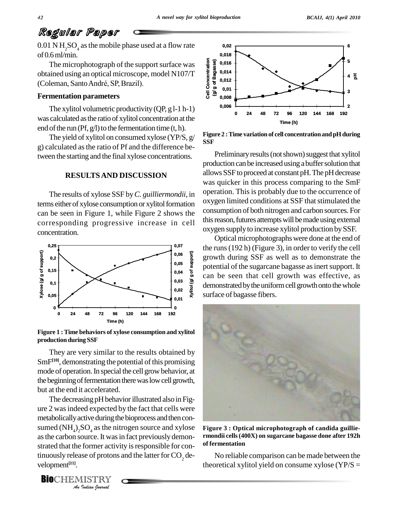# Regular Paper

 $0.01$  N H<sub>2</sub>SO<sub>4</sub> as the mobile phase used at a flow rate of0.6ml/min.

The microphotograph of the support surface was<br>ained using an optical microscope, model N107/T<br>leman, Santo André, SP, Brazil).<br>**Examentation parameters** obtained using an optical microscope, model N107/T  $\frac{2}{9}$   $\frac{300}{9}$ The microphotograph of the support<br>obtained using an optical microscope, me<br>(Coleman, Santo André, SP, Brazil).

#### **Fermentation parameters**

The xylitol volumetric productivity  $(QP, g1-1 h-1)$ was calculated as the ratio of xylitol concentration at the end of the run (Pf,  $g/l$ ) to the fermentation time (t, h).

The yield of xylitol on consumed xylose (YP/S, g/ g) calculated asthe ratio of Pf and the difference between the starting and the final xylose concentrations.

#### **RESULTSAND DISCUSSION**

The results of xylose SSF by*C. guilliermondii*, in terms either of xylose consumption or xylitol formation can be seen in Figure 1, while Figure 2 shows the corresponding progressive increase in cell concentration.



**Figure 1 :Time behaviors of xylose consumption and xylitol production during SSF**

They are very similar to the results obtained by SmF<sup>[10]</sup>, demonstrating the potential of this promising mode of operation. In special the cell grow behavior, at the beginning of fermentation there was low cell growth, but at the end it accelerated.

as the carbon source. It was in fact previously demon- $\frac{1}{2}$ *I*<br> *I* was former active<br> *I* former active<br> *I* ISTRY The decreasing pH behavior illustrated also in Figure 2 wasindeed expected by the fact that cells were metabolically active during the bioprocess and then consumed  $(NH_4)_2SO_4$  as the nitrogen source and xylose Figure strated that the former activity is responsible for continuously release of protons and the latter for  $CO<sub>2</sub>$  development<sup>[11]</sup>. velopment<sup>[11]</sup>.

**BIO**CHEMISTRY



**Figure 2 :Time variation of cell concentrationand pHduring SSF**

Preliminary results (not shown) suggest that xylitol production can be increased using a buffer solution that allows SSF to proceed at constant pH. The pH decrease was quicker in this process comparing to the SmF operation. This is probably due to the occurrence of oxygen limited conditions at SSF that stimulated the consumption of both nitrogen and carbon sources. For this reason, futures attempts will be made using external oxygen supplyto increase xylitol production bySSF.

Optical microphotographs were done at the end of the runs(192 h) (Figure 3), in order to verify the cell growth during SSF as well as to demonstrate the potential of the sugarcane bagasse as inert support. It can be seen that cell growth was effective, as demonstrated by the uniform cell growth onto the whole surface of bagasse fibers.



**Figure 3 : Optical microphotograph of candida guillie rmondii cells(400X) on sugarcane bagasse done after 192h of fermentation**

No reliable comparison can be made between the theoretical xylitol yield on consume xylose  $(YP/S =$